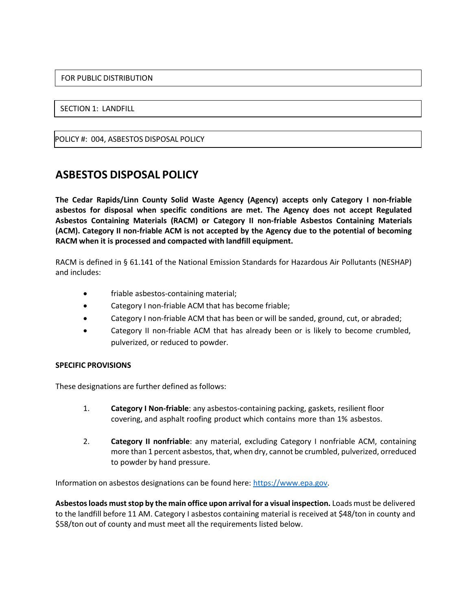## FOR PUBLIC DISTRIBUTION

## SECTION 1: LANDFILL

POLICY #: 004, ASBESTOS DISPOSAL POLICY

## **ASBESTOS DISPOSAL POLICY**

**The Cedar Rapids/Linn County Solid Waste Agency (Agency) accepts only Category I non-friable asbestos for disposal when specific conditions are met. The Agency does not accept Regulated Asbestos Containing Materials (RACM) or Category II non-friable Asbestos Containing Materials (ACM). Category II non-friable ACM is not accepted by the Agency due to the potential of becoming RACM when it is processed and compacted with landfill equipment.**

RACM is defined in § 61.141 of the National Emission Standards for Hazardous Air Pollutants (NESHAP) and includes:

- friable asbestos-containing material;
- Category I non-friable ACM that has become friable;
- Category I non-friable ACM that has been or will be sanded, ground, cut, or abraded;
- Category II non-friable ACM that has already been or is likely to become crumbled, pulverized, or reduced to powder.

## **SPECIFIC PROVISIONS**

These designations are further defined as follows:

- 1. **Category I Non-friable**: any asbestos-containing packing, gaskets, resilient floor covering, and asphalt roofing product which contains more than 1% asbestos.
- 2. **Category II nonfriable**: any material, excluding Category I nonfriable ACM, containing more than 1 percent asbestos, that, when dry, cannot be crumbled, pulverized, orreduced to powder by hand pressure.

Information on asbestos designations can be found here: [https://www.epa.gov.](https://www.epa.gov/sites/default/files/2016-03/documents/55fedreg48406.pdf)

**Asbestosloads muststop by the main office upon arrival for a visual inspection.** Loads must be delivered to the landfill before 11 AM. Category I asbestos containing material is received at \$48/ton in county and \$58/ton out of county and must meet all the requirements listed below.